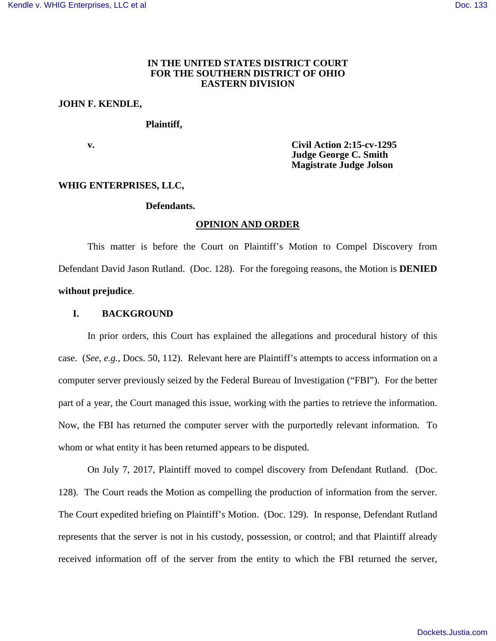### **IN THE UNITED STATES DISTRICT COURT FOR THE SOUTHERN DISTRICT OF OHIO EASTERN DIVISION**

# **JOHN F. KENDLE,**

## **Plaintiff,**

 **v. Civil Action 2:15-cv-1295 Judge George C. Smith Magistrate Judge Jolson** 

#### **WHIG ENTERPRISES, LLC,**

#### **Defendants.**

#### **OPINION AND ORDER**

This matter is before the Court on Plaintiff's Motion to Compel Discovery from Defendant David Jason Rutland. (Doc. 128). For the foregoing reasons, the Motion is **DENIED without prejudice**.

## **I. BACKGROUND**

In prior orders, this Court has explained the allegations and procedural history of this case. (*See, e.g.*, Docs. 50, 112). Relevant here are Plaintiff's attempts to access information on a computer server previously seized by the Federal Bureau of Investigation ("FBI"). For the better part of a year, the Court managed this issue, working with the parties to retrieve the information. Now, the FBI has returned the computer server with the purportedly relevant information. To whom or what entity it has been returned appears to be disputed.

On July 7, 2017, Plaintiff moved to compel discovery from Defendant Rutland. (Doc. 128). The Court reads the Motion as compelling the production of information from the server. The Court expedited briefing on Plaintiff's Motion. (Doc. 129). In response, Defendant Rutland represents that the server is not in his custody, possession, or control; and that Plaintiff already received information off of the server from the entity to which the FBI returned the server,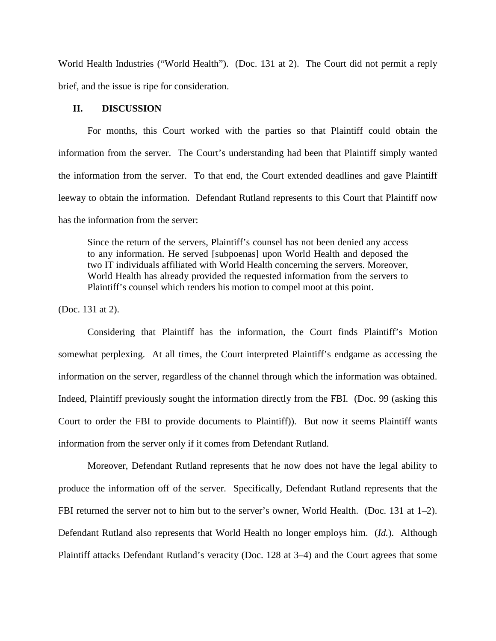World Health Industries ("World Health"). (Doc. 131 at 2). The Court did not permit a reply brief, and the issue is ripe for consideration.

### **II. DISCUSSION**

For months, this Court worked with the parties so that Plaintiff could obtain the information from the server. The Court's understanding had been that Plaintiff simply wanted the information from the server. To that end, the Court extended deadlines and gave Plaintiff leeway to obtain the information. Defendant Rutland represents to this Court that Plaintiff now has the information from the server:

Since the return of the servers, Plaintiff's counsel has not been denied any access to any information. He served [subpoenas] upon World Health and deposed the two IT individuals affiliated with World Health concerning the servers. Moreover, World Health has already provided the requested information from the servers to Plaintiff's counsel which renders his motion to compel moot at this point.

(Doc. 131 at 2).

Considering that Plaintiff has the information, the Court finds Plaintiff's Motion somewhat perplexing. At all times, the Court interpreted Plaintiff's endgame as accessing the information on the server, regardless of the channel through which the information was obtained. Indeed, Plaintiff previously sought the information directly from the FBI. (Doc. 99 (asking this Court to order the FBI to provide documents to Plaintiff)). But now it seems Plaintiff wants information from the server only if it comes from Defendant Rutland.

Moreover, Defendant Rutland represents that he now does not have the legal ability to produce the information off of the server. Specifically, Defendant Rutland represents that the FBI returned the server not to him but to the server's owner, World Health. (Doc. 131 at 1–2). Defendant Rutland also represents that World Health no longer employs him. (*Id.*). Although Plaintiff attacks Defendant Rutland's veracity (Doc. 128 at 3–4) and the Court agrees that some